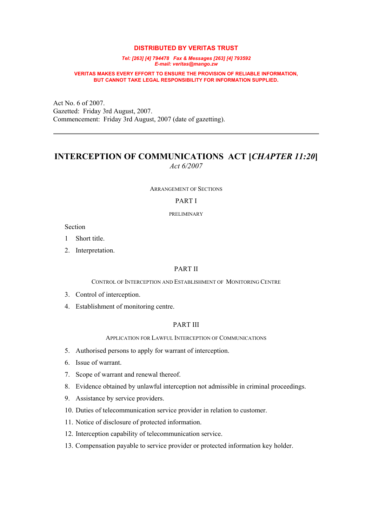#### **DISTRIBUTED BY VERITAS TRUST**

*Tel: [263] [4] 794478 Fax & Messages [263] [4] 793592 E-mail: veritas@mango.zw*

#### **VERITAS MAKES EVERY EFFORT TO ENSURE THE PROVISION OF RELIABLE INFORMATION, BUT CANNOT TAKE LEGAL RESPONSIBILITY FOR INFORMATION SUPPLIED.**

Act No. 6 of 2007. Gazetted: Friday 3rd August, 2007. Commencement: Friday 3rd August, 2007 (date of gazetting).

# **INTERCEPTION OF COMMUNICATIONS ACT [***CHAPTER 11:20***]** *Act 6/2007*

ARRANGEMENT OF SECTIONS

## PART I

PRELIMINARY

Section

1 Short title.

2. Interpretation.

#### PART II

CONTROL OF INTERCEPTION AND ESTABLISHMENT OF MONITORING CENTRE

- 3. Control of interception.
- 4. Establishment of monitoring centre.

#### PART III

APPLICATION FOR LAWFUL INTERCEPTION OF COMMUNICATIONS

- 5. Authorised persons to apply for warrant of interception.
- 6. Issue of warrant.
- 7. Scope of warrant and renewal thereof.
- 8. Evidence obtained by unlawful interception not admissible in criminal proceedings.
- 9. Assistance by service providers.
- 10. Duties of telecommunication service provider in relation to customer.
- 11. Notice of disclosure of protected information.
- 12. Interception capability of telecommunication service.
- 13. Compensation payable to service provider or protected information key holder.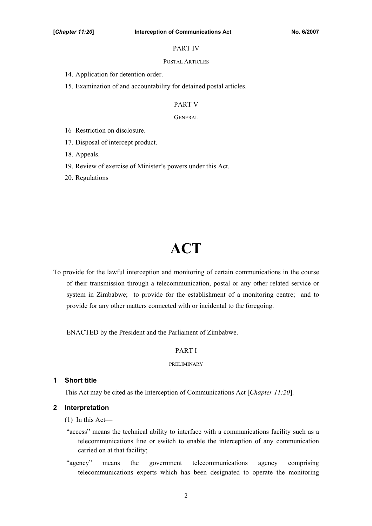## PART IV

#### POSTAL ARTICLES

14. Application for detention order.

15. Examination of and accountability for detained postal articles.

## PART V

#### GENERAL

16 Restriction on disclosure.

17. Disposal of intercept product.

18. Appeals.

19. Review of exercise of Minister's powers under this Act.

20. Regulations

# **ACT**

To provide for the lawful interception and monitoring of certain communications in the course of their transmission through a telecommunication, postal or any other related service or system in Zimbabwe; to provide for the establishment of a monitoring centre; and to provide for any other matters connected with or incidental to the foregoing.

ENACTED by the President and the Parliament of Zimbabwe.

#### PART I

#### PRELIMINARY

## **1 Short title**

This Act may be cited as the Interception of Communications Act [*Chapter 11:20*].

#### **2 Interpretation**

- (1) In this Act
- "access" means the technical ability to interface with a communications facility such as a telecommunications line or switch to enable the interception of any communication carried on at that facility;
- "agency" means the government telecommunications agency comprising telecommunications experts which has been designated to operate the monitoring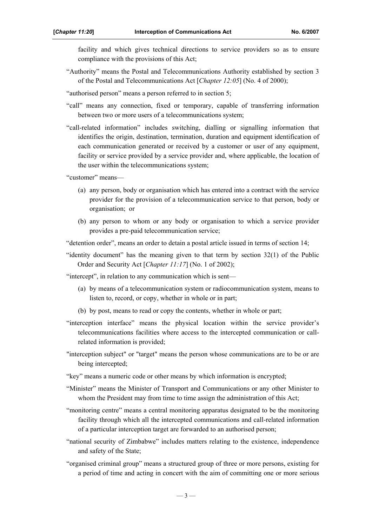facility and which gives technical directions to service providers so as to ensure compliance with the provisions of this Act;

- "Authority" means the Postal and Telecommunications Authority established by section 3 of the Postal and Telecommunications Act [*Chapter 12:05*] (No. 4 of 2000);
- "authorised person" means a person referred to in section 5;
- "call" means any connection, fixed or temporary, capable of transferring information between two or more users of a telecommunications system;
- "call-related information" includes switching, dialling or signalling information that identifies the origin, destination, termination, duration and equipment identification of each communication generated or received by a customer or user of any equipment, facility or service provided by a service provider and, where applicable, the location of the user within the telecommunications system;

"customer" means—

- (a) any person, body or organisation which has entered into a contract with the service provider for the provision of a telecommunication service to that person, body or organisation; or
- (b) any person to whom or any body or organisation to which a service provider provides a pre-paid telecommunication service;

"detention order", means an order to detain a postal article issued in terms of section 14;

"identity document" has the meaning given to that term by section 32(1) of the Public Order and Security Act [*Chapter 11:17*] (No. 1 of 2002);

"intercept", in relation to any communication which is sent—

- (a) by means of a telecommunication system or radiocommunication system, means to listen to, record, or copy, whether in whole or in part;
- (b) by post, means to read or copy the contents, whether in whole or part;
- "interception interface" means the physical location within the service provider's telecommunications facilities where access to the intercepted communication or callrelated information is provided;
- "interception subject" or "target" means the person whose communications are to be or are being intercepted;
- "key" means a numeric code or other means by which information is encrypted;
- "Minister" means the Minister of Transport and Communications or any other Minister to whom the President may from time to time assign the administration of this Act;
- "monitoring centre" means a central monitoring apparatus designated to be the monitoring facility through which all the intercepted communications and call-related information of a particular interception target are forwarded to an authorised person;
- "national security of Zimbabwe" includes matters relating to the existence, independence and safety of the State;
- "organised criminal group" means a structured group of three or more persons, existing for a period of time and acting in concert with the aim of committing one or more serious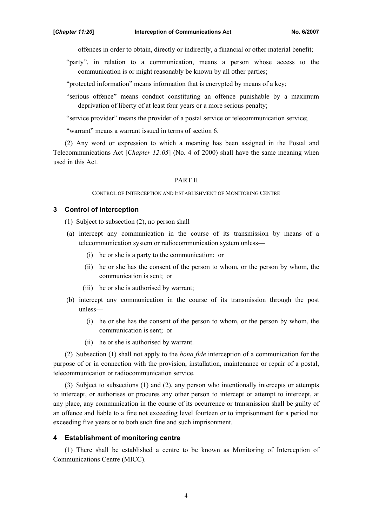offences in order to obtain, directly or indirectly, a financial or other material benefit;

"party", in relation to a communication, means a person whose access to the communication is or might reasonably be known by all other parties;

"protected information" means information that is encrypted by means of a key;

"serious offence" means conduct constituting an offence punishable by a maximum deprivation of liberty of at least four years or a more serious penalty;

"service provider" means the provider of a postal service or telecommunication service;

"warrant" means a warrant issued in terms of section 6.

(2) Any word or expression to which a meaning has been assigned in the Postal and Telecommunications Act [*Chapter 12:05*] (No. 4 of 2000) shall have the same meaning when used in this Act.

#### PART II

CONTROL OF INTERCEPTION AND ESTABLISHMENT OF MONITORING CENTRE

#### **3 Control of interception**

(1) Subject to subsection (2), no person shall—

- (a) intercept any communication in the course of its transmission by means of a telecommunication system or radiocommunication system unless—
	- (i) he or she is a party to the communication; or
	- (ii) he or she has the consent of the person to whom, or the person by whom, the communication is sent; or
	- (iii) he or she is authorised by warrant;
- (b) intercept any communication in the course of its transmission through the post unless—
	- (i) he or she has the consent of the person to whom, or the person by whom, the communication is sent; or
	- (ii) he or she is authorised by warrant.

(2) Subsection (1) shall not apply to the *bona fide* interception of a communication for the purpose of or in connection with the provision, installation, maintenance or repair of a postal, telecommunication or radiocommunication service.

(3) Subject to subsections (1) and (2), any person who intentionally intercepts or attempts to intercept, or authorises or procures any other person to intercept or attempt to intercept, at any place, any communication in the course of its occurrence or transmission shall be guilty of an offence and liable to a fine not exceeding level fourteen or to imprisonment for a period not exceeding five years or to both such fine and such imprisonment.

#### **4 Establishment of monitoring centre**

(1) There shall be established a centre to be known as Monitoring of Interception of Communications Centre (MICC).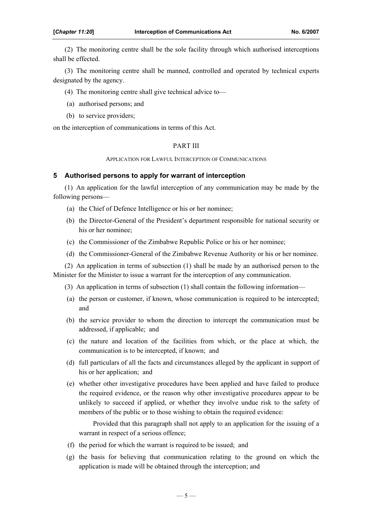(2) The monitoring centre shall be the sole facility through which authorised interceptions shall be effected.

(3) The monitoring centre shall be manned, controlled and operated by technical experts designated by the agency.

(4) The monitoring centre shall give technical advice to—

- (a) authorised persons; and
- (b) to service providers;

on the interception of communications in terms of this Act.

#### PART III

APPLICATION FOR LAWFUL INTERCEPTION OF COMMUNICATIONS

## **5 Authorised persons to apply for warrant of interception**

(1) An application for the lawful interception of any communication may be made by the following persons—

- (a) the Chief of Defence Intelligence or his or her nominee;
- (b) the Director-General of the President's department responsible for national security or his or her nominee;
- (c) the Commissioner of the Zimbabwe Republic Police or his or her nominee;
- (d) the Commissioner-General of the Zimbabwe Revenue Authority or his or her nominee.

(2) An application in terms of subsection (1) shall be made by an authorised person to the Minister for the Minister to issue a warrant for the interception of any communication.

(3) An application in terms of subsection (1) shall contain the following information—

- (a) the person or customer, if known, whose communication is required to be intercepted; and
- (b) the service provider to whom the direction to intercept the communication must be addressed, if applicable; and
- (c) the nature and location of the facilities from which, or the place at which, the communication is to be intercepted, if known; and
- (d) full particulars of all the facts and circumstances alleged by the applicant in support of his or her application; and
- (e) whether other investigative procedures have been applied and have failed to produce the required evidence, or the reason why other investigative procedures appear to be unlikely to succeed if applied, or whether they involve undue risk to the safety of members of the public or to those wishing to obtain the required evidence:

Provided that this paragraph shall not apply to an application for the issuing of a warrant in respect of a serious offence;

- (f) the period for which the warrant is required to be issued; and
- (g) the basis for believing that communication relating to the ground on which the application is made will be obtained through the interception; and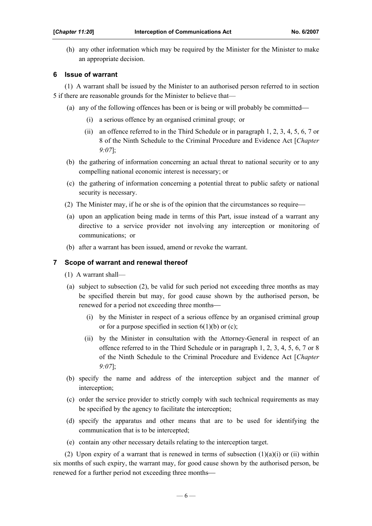(h) any other information which may be required by the Minister for the Minister to make an appropriate decision.

## **6 Issue of warrant**

(1) A warrant shall be issued by the Minister to an authorised person referred to in section 5 if there are reasonable grounds for the Minister to believe that—

- (a) any of the following offences has been or is being or will probably be committed
	- (i) a serious offence by an organised criminal group; or
	- (ii) an offence referred to in the Third Schedule or in paragraph 1, 2, 3, 4, 5, 6, 7 or 8 of the Ninth Schedule to the Criminal Procedure and Evidence Act [*Chapter 9:07*];
- (b) the gathering of information concerning an actual threat to national security or to any compelling national economic interest is necessary; or
- (c) the gathering of information concerning a potential threat to public safety or national security is necessary.
- (2) The Minister may, if he or she is of the opinion that the circumstances so require
- (a) upon an application being made in terms of this Part, issue instead of a warrant any directive to a service provider not involving any interception or monitoring of communications; or
- (b) after a warrant has been issued, amend or revoke the warrant.

## **7 Scope of warrant and renewal thereof**

- (1) A warrant shall—
- (a) subject to subsection (2), be valid for such period not exceeding three months as may be specified therein but may, for good cause shown by the authorised person, be renewed for a period not exceeding three months
	- (i) by the Minister in respect of a serious offence by an organised criminal group or for a purpose specified in section  $6(1)(b)$  or (c);
	- (ii) by the Minister in consultation with the Attorney-General in respect of an offence referred to in the Third Schedule or in paragraph 1, 2, 3, 4, 5, 6, 7 or 8 of the Ninth Schedule to the Criminal Procedure and Evidence Act [*Chapter 9:07*];
- (b) specify the name and address of the interception subject and the manner of interception;
- (c) order the service provider to strictly comply with such technical requirements as may be specified by the agency to facilitate the interception;
- (d) specify the apparatus and other means that are to be used for identifying the communication that is to be intercepted;
- (e) contain any other necessary details relating to the interception target.

(2) Upon expiry of a warrant that is renewed in terms of subsection  $(1)(a)(i)$  or  $(ii)$  within six months of such expiry, the warrant may, for good cause shown by the authorised person, be renewed for a further period not exceeding three months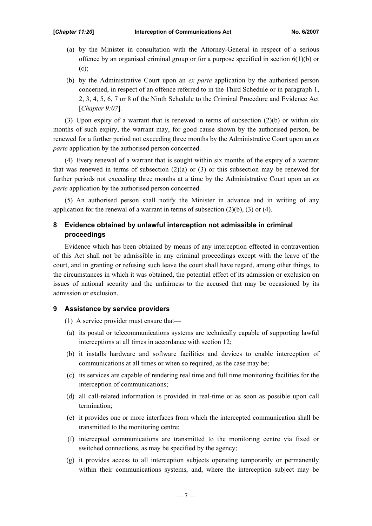- (a) by the Minister in consultation with the Attorney-General in respect of a serious offence by an organised criminal group or for a purpose specified in section  $6(1)(b)$  or  $(c)$ ;
- (b) by the Administrative Court upon an *ex parte* application by the authorised person concerned, in respect of an offence referred to in the Third Schedule or in paragraph 1, 2, 3, 4, 5, 6, 7 or 8 of the Ninth Schedule to the Criminal Procedure and Evidence Act [*Chapter 9:07*].

(3) Upon expiry of a warrant that is renewed in terms of subsection (2)(b) or within six months of such expiry, the warrant may, for good cause shown by the authorised person, be renewed for a further period not exceeding three months by the Administrative Court upon an *ex parte* application by the authorised person concerned.

(4) Every renewal of a warrant that is sought within six months of the expiry of a warrant that was renewed in terms of subsection  $(2)(a)$  or  $(3)$  or this subsection may be renewed for further periods not exceeding three months at a time by the Administrative Court upon an *ex parte* application by the authorised person concerned.

(5) An authorised person shall notify the Minister in advance and in writing of any application for the renewal of a warrant in terms of subsection  $(2)(b)$ ,  $(3)$  or  $(4)$ .

## **8 Evidence obtained by unlawful interception not admissible in criminal proceedings**

Evidence which has been obtained by means of any interception effected in contravention of this Act shall not be admissible in any criminal proceedings except with the leave of the court, and in granting or refusing such leave the court shall have regard, among other things, to the circumstances in which it was obtained, the potential effect of its admission or exclusion on issues of national security and the unfairness to the accused that may be occasioned by its admission or exclusion.

## **9 Assistance by service providers**

(1) A service provider must ensure that—

- (a) its postal or telecommunications systems are technically capable of supporting lawful interceptions at all times in accordance with section 12;
- (b) it installs hardware and software facilities and devices to enable interception of communications at all times or when so required, as the case may be;
- (c) its services are capable of rendering real time and full time monitoring facilities for the interception of communications;
- (d) all call-related information is provided in real-time or as soon as possible upon call termination;
- (e) it provides one or more interfaces from which the intercepted communication shall be transmitted to the monitoring centre;
- (f) intercepted communications are transmitted to the monitoring centre via fixed or switched connections, as may be specified by the agency;
- (g) it provides access to all interception subjects operating temporarily or permanently within their communications systems, and, where the interception subject may be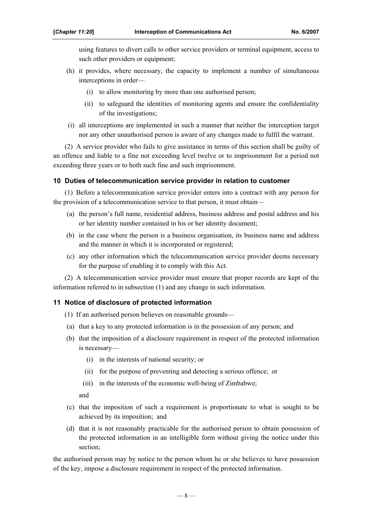using features to divert calls to other service providers or terminal equipment, access to such other providers or equipment;

- (h) it provides, where necessary, the capacity to implement a number of simultaneous interceptions in order—
	- (i) to allow monitoring by more than one authorised person;
	- (ii) to safeguard the identities of monitoring agents and ensure the confidentiality of the investigations;
- (i) all interceptions are implemented in such a manner that neither the interception target nor any other unauthorised person is aware of any changes made to fulfil the warrant.

(2) A service provider who fails to give assistance in terms of this section shall be guilty of an offence and liable to a fine not exceeding level twelve or to imprisonment for a period not exceeding three years or to both such fine and such imprisonment.

## **10 Duties of telecommunication service provider in relation to customer**

(1) Before a telecommunication service provider enters into a contract with any person for the provision of a telecommunication service to that person, it must obtain—

- (a) the person's full name, residential address, business address and postal address and his or her identity number contained in his or her identity document;
- (b) in the case where the person is a business organisation, its business name and address and the manner in which it is incorporated or registered;
- (c) any other information which the telecommunication service provider deems necessary for the purpose of enabling it to comply with this Act.

(2) A telecommunication service provider must ensure that proper records are kept of the information referred to in subsection (1) and any change in such information.

## **11 Notice of disclosure of protected information**

- (1) If an authorised person believes on reasonable grounds—
- (a) that a key to any protected information is in the possession of any person; and
- (b) that the imposition of a disclosure requirement in respect of the protected information is necessary—
	- (i) in the interests of national security; or
	- (ii) for the purpose of preventing and detecting a serious offence; or
	- (iii) in the interests of the economic well-being of Zimbabwe;

and

- (c) that the imposition of such a requirement is proportionate to what is sought to be achieved by its imposition; and
- (d) that it is not reasonably practicable for the authorised person to obtain possession of the protected information in an intelligible form without giving the notice under this section;

the authorised person may by notice to the person whom he or she believes to have possession of the key, impose a disclosure requirement in respect of the protected information.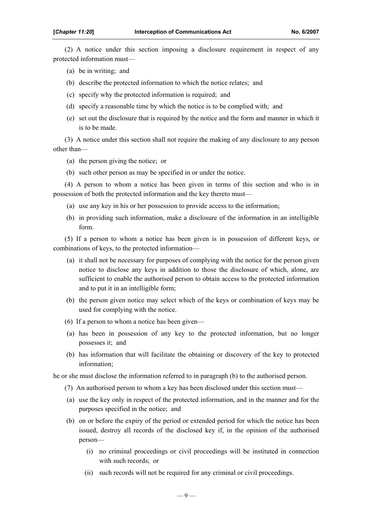(2) A notice under this section imposing a disclosure requirement in respect of any protected information must—

- (a) be in writing; and
- (b) describe the protected information to which the notice relates; and
- (c) specify why the protected information is required; and
- (d) specify a reasonable time by which the notice is to be complied with; and
- (e) set out the disclosure that is required by the notice and the form and manner in which it is to be made.

(3) A notice under this section shall not require the making of any disclosure to any person other than—

- (a) the person giving the notice; or
- (b) such other person as may be specified in or under the notice.

(4) A person to whom a notice has been given in terms of this section and who is in possession of both the protected information and the key thereto must—

- (a) use any key in his or her possession to provide access to the information;
- (b) in providing such information, make a disclosure of the information in an intelligible form.

(5) If a person to whom a notice has been given is in possession of different keys, or combinations of keys, to the protected information—

- (a) it shall not be necessary for purposes of complying with the notice for the person given notice to disclose any keys in addition to those the disclosure of which, alone, are sufficient to enable the authorised person to obtain access to the protected information and to put it in an intelligible form;
- (b) the person given notice may select which of the keys or combination of keys may be used for complying with the notice.
- (6) If a person to whom a notice has been given—
- (a) has been in possession of any key to the protected information, but no longer possesses it; and
- (b) has information that will facilitate the obtaining or discovery of the key to protected information;

he or she must disclose the information referred to in paragraph (b) to the authorised person.

- (7) An authorised person to whom a key has been disclosed under this section must—
- (a) use the key only in respect of the protected information, and in the manner and for the purposes specified in the notice; and
- (b) on or before the expiry of the period or extended period for which the notice has been issued, destroy all records of the disclosed key if, in the opinion of the authorised person—
	- (i) no criminal proceedings or civil proceedings will be instituted in connection with such records; or
	- (ii) such records will not be required for any criminal or civil proceedings.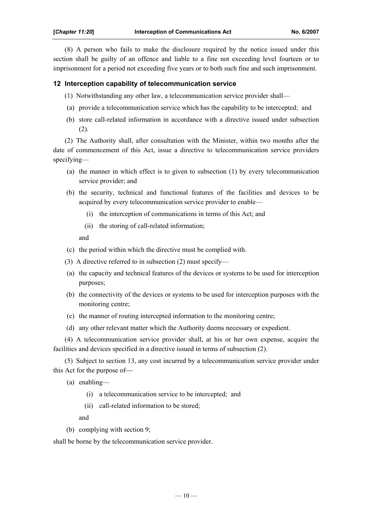(8) A person who fails to make the disclosure required by the notice issued under this section shall be guilty of an offence and liable to a fine not exceeding level fourteen or to imprisonment for a period not exceeding five years or to both such fine and such imprisonment.

## **12 Interception capability of telecommunication service**

- (1) Notwithstanding any other law, a telecommunication service provider shall—
- (a) provide a telecommunication service which has the capability to be intercepted; and
- (b) store call-related information in accordance with a directive issued under subsection (2).

(2) The Authority shall, after consultation with the Minister, within two months after the date of commencement of this Act, issue a directive to telecommunication service providers specifying—

- (a) the manner in which effect is to given to subsection (1) by every telecommunication service provider; and
- (b) the security, technical and functional features of the facilities and devices to be acquired by every telecommunication service provider to enable—
	- (i) the interception of communications in terms of this Act; and
	- (ii) the storing of call-related information;

and

- (c) the period within which the directive must be complied with.
- (3) A directive referred to in subsection (2) must specify—
- (a) the capacity and technical features of the devices or systems to be used for interception purposes;
- (b) the connectivity of the devices or systems to be used for interception purposes with the monitoring centre;
- (c) the manner of routing intercepted information to the monitoring centre;
- (d) any other relevant matter which the Authority deems necessary or expedient.

(4) A telecommunication service provider shall, at his or her own expense, acquire the facilities and devices specified in a directive issued in terms of subsection (2).

(5) Subject to section 13, any cost incurred by a telecommunication service provider under this Act for the purpose of

(a) enabling—

- (i) a telecommunication service to be intercepted; and
- (ii) call-related information to be stored;

and

(b) complying with section 9;

shall be borne by the telecommunication service provider.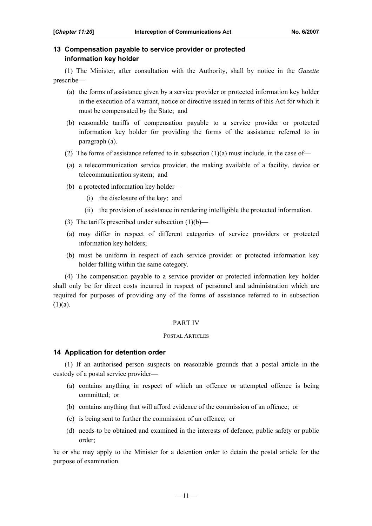## **13 Compensation payable to service provider or protected information key holder**

(1) The Minister, after consultation with the Authority, shall by notice in the *Gazette* prescribe—

- (a) the forms of assistance given by a service provider or protected information key holder in the execution of a warrant, notice or directive issued in terms of this Act for which it must be compensated by the State; and
- (b) reasonable tariffs of compensation payable to a service provider or protected information key holder for providing the forms of the assistance referred to in paragraph (a).
- (2) The forms of assistance referred to in subsection  $(1)(a)$  must include, in the case of-
- (a) a telecommunication service provider, the making available of a facility, device or telecommunication system; and
- (b) a protected information key holder—
	- (i) the disclosure of the key; and
	- (ii) the provision of assistance in rendering intelligible the protected information.
- (3) The tariffs prescribed under subsection  $(1)(b)$ —
- (a) may differ in respect of different categories of service providers or protected information key holders;
- (b) must be uniform in respect of each service provider or protected information key holder falling within the same category.

(4) The compensation payable to a service provider or protected information key holder shall only be for direct costs incurred in respect of personnel and administration which are required for purposes of providing any of the forms of assistance referred to in subsection  $(1)(a)$ .

#### PART IV

#### POSTAL ARTICLES

#### **14 Application for detention order**

(1) If an authorised person suspects on reasonable grounds that a postal article in the custody of a postal service provider—

- (a) contains anything in respect of which an offence or attempted offence is being committed; or
- (b) contains anything that will afford evidence of the commission of an offence; or
- (c) is being sent to further the commission of an offence; or
- (d) needs to be obtained and examined in the interests of defence, public safety or public order;

he or she may apply to the Minister for a detention order to detain the postal article for the purpose of examination.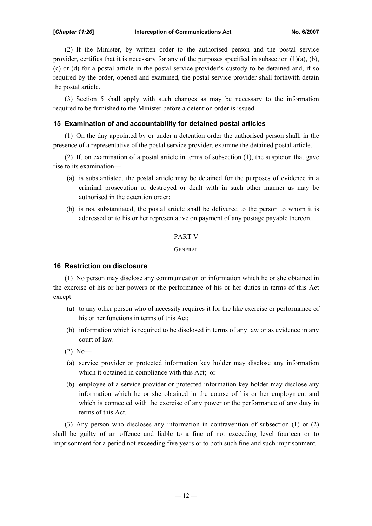(2) If the Minister, by written order to the authorised person and the postal service provider, certifies that it is necessary for any of the purposes specified in subsection  $(1)(a)$ ,  $(b)$ , (c) or (d) for a postal article in the postal service provider's custody to be detained and, if so required by the order, opened and examined, the postal service provider shall forthwith detain the postal article.

(3) Section 5 shall apply with such changes as may be necessary to the information required to be furnished to the Minister before a detention order is issued.

## **15 Examination of and accountability for detained postal articles**

(1) On the day appointed by or under a detention order the authorised person shall, in the presence of a representative of the postal service provider, examine the detained postal article.

(2) If, on examination of a postal article in terms of subsection (1), the suspicion that gave rise to its examination—

- (a) is substantiated, the postal article may be detained for the purposes of evidence in a criminal prosecution or destroyed or dealt with in such other manner as may be authorised in the detention order;
- (b) is not substantiated, the postal article shall be delivered to the person to whom it is addressed or to his or her representative on payment of any postage payable thereon.

#### PART V

GENERAL

#### **16 Restriction on disclosure**

(1) No person may disclose any communication or information which he or she obtained in the exercise of his or her powers or the performance of his or her duties in terms of this Act except—

- (a) to any other person who of necessity requires it for the like exercise or performance of his or her functions in terms of this Act;
- (b) information which is required to be disclosed in terms of any law or as evidence in any court of law.
- (2) No—
- (a) service provider or protected information key holder may disclose any information which it obtained in compliance with this Act; or
- (b) employee of a service provider or protected information key holder may disclose any information which he or she obtained in the course of his or her employment and which is connected with the exercise of any power or the performance of any duty in terms of this Act.

(3) Any person who discloses any information in contravention of subsection (1) or (2) shall be guilty of an offence and liable to a fine of not exceeding level fourteen or to imprisonment for a period not exceeding five years or to both such fine and such imprisonment.